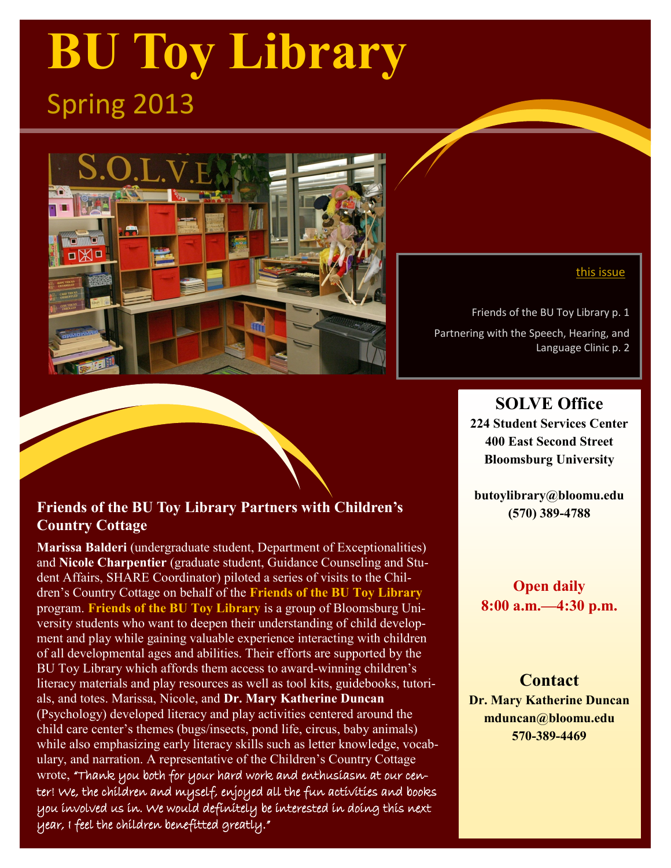# **BU Toy Library** Spring 2013



### **Friends of the BU Toy Library Partners with Children's Country Cottage**

**Marissa Balderi** (undergraduate student, Department of Exceptionalities) and **Nicole Charpentier** (graduate student, Guidance Counseling and Student Affairs, SHARE Coordinator) piloted a series of visits to the Children's Country Cottage on behalf of the **Friends of the BU Toy Library**  program. **Friends of the BU Toy Library** is a group of Bloomsburg University students who want to deepen their understanding of child development and play while gaining valuable experience interacting with children of all developmental ages and abilities. Their efforts are supported by the BU Toy Library which affords them access to award-winning children's literacy materials and play resources as well as tool kits, guidebooks, tutorials, and totes. Marissa, Nicole, and **Dr. Mary Katherine Duncan**  (Psychology) developed literacy and play activities centered around the child care center's themes (bugs/insects, pond life, circus, baby animals) while also emphasizing early literacy skills such as letter knowledge, vocabulary, and narration. A representative of the Children's Country Cottage wrote, "Thank you both for your hard work and enthusiasm at our center! We, the children and myself, enjoyed all the fun activities and books you involved us in. We would definitely be interested in doing this next year, I feel the children benefitted greatly."

#### this issue

Friends of the BU Toy Library p. 1 Partnering with the Speech, Hearing, and Language Clinic p. 2

### **SOLVE Office**

**224 Student Services Center 400 East Second Street Bloomsburg University** 

**butoylibrary@bloomu.edu (570) 389-4788**

### **Open daily 8:00 a.m.—4:30 p.m.**

**Contact Dr. Mary Katherine Duncan mduncan@bloomu.edu 570-389-4469**